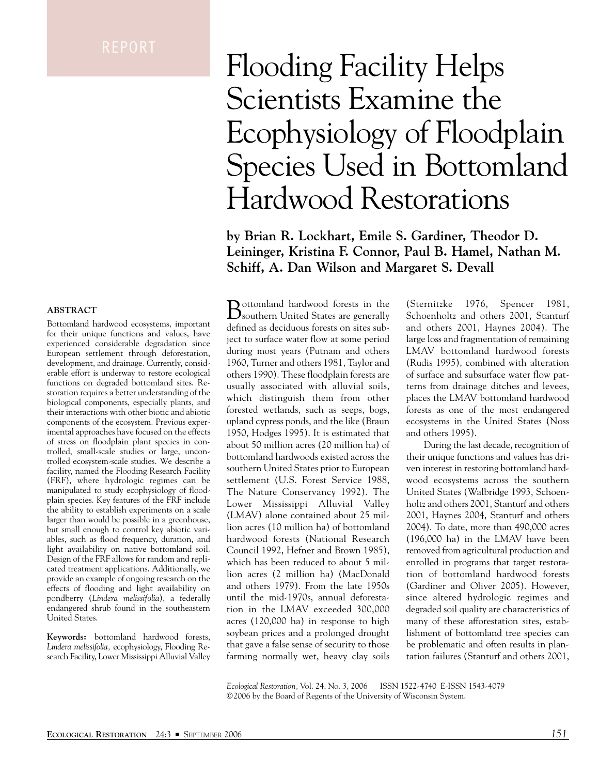#### **ABSTRACT**

Bottomland hardwood ecosystems, important for their unique functions and values, have experienced considerable degradation since European settlement through deforestation, development, and drainage. Currently, considerable effort is underway to restore ecological functions on degraded bottomland sites. Restoration requires a better understanding of the biological components, especially plants, and their interactions with other biotic and abiotic components of the ecosystem. Previous experimental approaches have focused on the effects of stress on floodplain plant species in controlled, small-scale studies or large, uncontrolled ecosystem-scale studies. We describe a facility, named the Flooding Research Facility (FRF), where hydrologic regimes can be manipulated to study ecophysiology of floodplain species. Key features of the FRF include the ability to establish experiments on a scale larger than would be possible in a greenhouse, but small enough to control key abiotic variables, such as flood frequency, duration, and light availability on native bottomland soil. Design of the FRF allows for random and replicated treatment applications. Additionally, we provide an example of ongoing research on the effects of flooding and light availability on pondberry (*Lindera melissifolia*), a federally endangered shrub found in the southeastern United States.

**Keywords:** bottomland hardwood forests, *Lindera melissifolia,* ecophysiology, Flooding Research Facility, Lower Mississippi Alluvial Valley

# Flooding Facility Helps Scientists Examine the Ecophysiology of Floodplain Species Used in Bottomland Hardwood Restorations

**by Brian R. Lockhart, Emile S. Gardiner, Theodor D. Leininger, Kristina F. Connor, Paul B. Hamel, Nathan M. Schiff, A. Dan Wilson and Margaret S. Devall**

Bottomland hardwood forests in the southern United States are generally defined as deciduous forests on sites subject to surface water flow at some period during most years (Putnam and others 1960, Turner and others 1981, Taylor and others 1990). These floodplain forests are usually associated with alluvial soils, which distinguish them from other forested wetlands, such as seeps, bogs, upland cypress ponds, and the like (Braun 1950, Hodges 1995). It is estimated that about 50 million acres (20 million ha) of bottomland hardwoods existed across the southern United States prior to European settlement (U.S. Forest Service 1988, The Nature Conservancy 1992). The Lower Mississippi Alluvial Valley (LMAV) alone contained about 25 million acres (10 million ha) of bottomland hardwood forests (National Research Council 1992, Hefner and Brown 1985), which has been reduced to about 5 million acres (2 million ha) (MacDonald and others 1979). From the late 1950s until the mid-1970s, annual deforestation in the LMAV exceeded 300,000 acres (120,000 ha) in response to high soybean prices and a prolonged drought that gave a false sense of security to those farming normally wet, heavy clay soils

(Sternitzke 1976, Spencer 1981, Schoenholtz and others 2001, Stanturf and others 2001, Haynes 2004). The large loss and fragmentation of remaining LMAV bottomland hardwood forests (Rudis 1995), combined with alteration of surface and subsurface water flow patterns from drainage ditches and levees, places the LMAV bottomland hardwood forests as one of the most endangered ecosystems in the United States (Noss and others 1995).

During the last decade, recognition of their unique functions and values has driven interest in restoring bottomland hardwood ecosystems across the southern United States (Walbridge 1993, Schoenholtz and others 2001, Stanturf and others 2001, Haynes 2004, Stanturf and others 2004). To date, more than 490,000 acres (196,000 ha) in the LMAV have been removed from agricultural production and enrolled in programs that target restoration of bottomland hardwood forests (Gardiner and Oliver 2005). However, since altered hydrologic regimes and degraded soil quality are characteristics of many of these afforestation sites, establishment of bottomland tree species can be problematic and often results in plantation failures (Stanturf and others 2001,

*Ecological Restoration,* Vol. 24, No. 3, 2006 ISSN 1522-4740 E-ISSN 1543-4079 ©2006 by the Board of Regents of the University of Wisconsin System.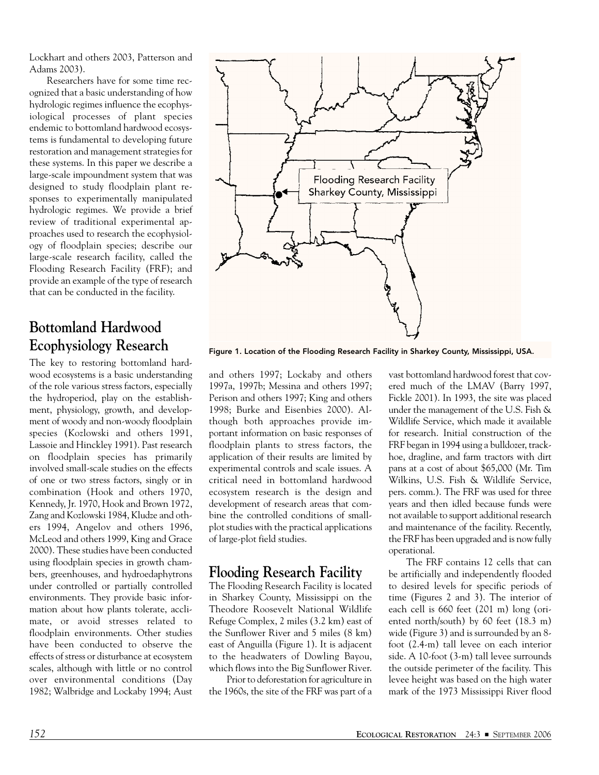Lockhart and others 2003, Patterson and Adams 2003).

Researchers have for some time recognized that a basic understanding of how hydrologic regimes influence the ecophysiological processes of plant species endemic to bottomland hardwood ecosystems is fundamental to developing future restoration and management strategies for these systems. In this paper we describe a large-scale impoundment system that was designed to study floodplain plant responses to experimentally manipulated hydrologic regimes. We provide a brief review of traditional experimental approaches used to research the ecophysiology of floodplain species; describe our large-scale research facility, called the Flooding Research Facility (FRF); and provide an example of the type of research that can be conducted in the facility.

# **Bottomland Hardwood Ecophysiology Research**

The key to restoring bottomland hardwood ecosystems is a basic understanding of the role various stress factors, especially the hydroperiod, play on the establishment, physiology, growth, and development of woody and non-woody floodplain species (Kozlowski and others 1991, Lassoie and Hinckley 1991). Past research on floodplain species has primarily involved small-scale studies on the effects of one or two stress factors, singly or in combination (Hook and others 1970, Kennedy, Jr. 1970, Hook and Brown 1972, Zang and Kozlowski 1984, Kludze and others 1994, Angelov and others 1996, McLeod and others 1999, King and Grace 2000). These studies have been conducted using floodplain species in growth chambers, greenhouses, and hydroedaphytrons under controlled or partially controlled environments. They provide basic information about how plants tolerate, acclimate, or avoid stresses related to floodplain environments. Other studies have been conducted to observe the effects of stress or disturbance at ecosystem scales, although with little or no control over environmental conditions (Day 1982; Walbridge and Lockaby 1994; Aust



Figure 1. Location of the Flooding Research Facility in Sharkey County, Mississippi, USA.

and others 1997; Lockaby and others 1997a, 1997b; Messina and others 1997; Perison and others 1997; King and others 1998; Burke and Eisenbies 2000). Although both approaches provide important information on basic responses of floodplain plants to stress factors, the application of their results are limited by experimental controls and scale issues. A critical need in bottomland hardwood ecosystem research is the design and development of research areas that combine the controlled conditions of smallplot studies with the practical applications of large-plot field studies.

## **Flooding Research Facility**

The Flooding Research Facility is located in Sharkey County, Mississippi on the Theodore Roosevelt National Wildlife Refuge Complex, 2 miles (3.2 km) east of the Sunflower River and 5 miles (8 km) east of Anguilla (Figure 1). It is adjacent to the headwaters of Dowling Bayou, which flows into the Big Sunflower River.

Prior to deforestation for agriculture in the 1960s, the site of the FRF was part of a

vast bottomland hardwood forest that covered much of the LMAV (Barry 1997, Fickle 2001). In 1993, the site was placed under the management of the U.S. Fish & Wildlife Service, which made it available for research. Initial construction of the FRF began in 1994 using a bulldozer, trackhoe, dragline, and farm tractors with dirt pans at a cost of about \$65,000 (Mr. Tim Wilkins, U.S. Fish & Wildlife Service, pers. comm.). The FRF was used for three years and then idled because funds were not available to support additional research and maintenance of the facility. Recently, the FRF has been upgraded and is now fully operational.

The FRF contains 12 cells that can be artificially and independently flooded to desired levels for specific periods of time (Figures 2 and 3). The interior of each cell is 660 feet (201 m) long (oriented north/south) by 60 feet (18.3 m) wide (Figure 3) and is surrounded by an 8 foot (2.4-m) tall levee on each interior side. A 10-foot (3-m) tall levee surrounds the outside perimeter of the facility. This levee height was based on the high water mark of the 1973 Mississippi River flood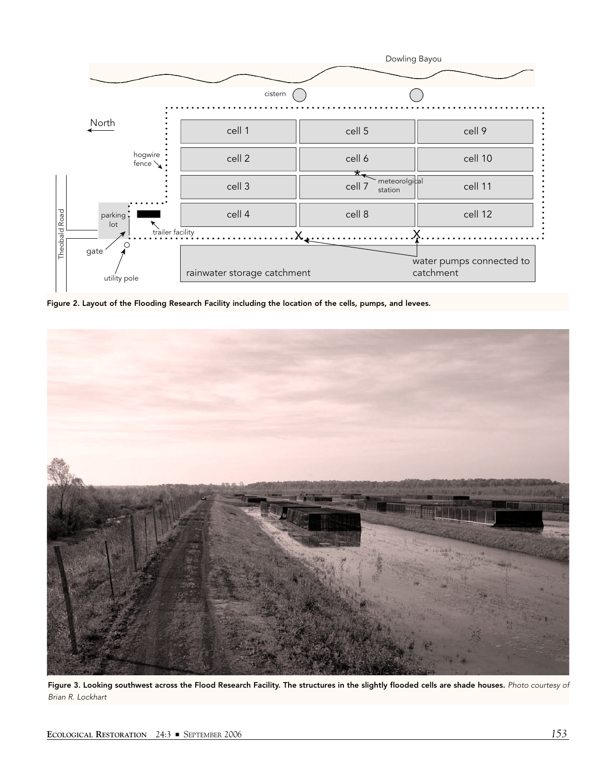

Figure 2. Layout of the Flooding Research Facility including the location of the cells, pumps, and levees.



Figure 3. Looking southwest across the Flood Research Facility. The structures in the slightly flooded cells are shade houses. *Photo courtesy of Brian R. Lockhart*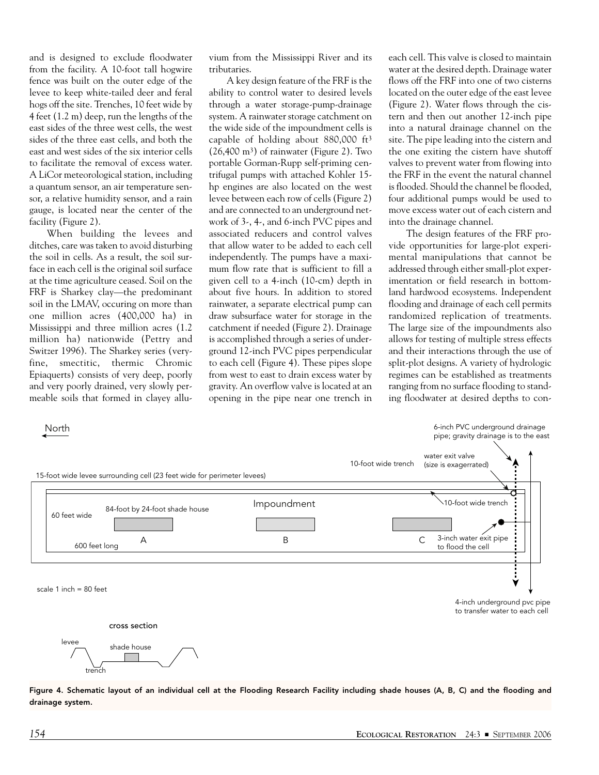and is designed to exclude floodwater from the facility. A 10-foot tall hogwire fence was built on the outer edge of the levee to keep white-tailed deer and feral hogs off the site. Trenches, 10 feet wide by 4 feet (1.2 m) deep, run the lengths of the east sides of the three west cells, the west sides of the three east cells, and both the east and west sides of the six interior cells to facilitate the removal of excess water. A LiCor meteorological station, including a quantum sensor, an air temperature sensor, a relative humidity sensor, and a rain gauge, is located near the center of the facility (Figure 2).

When building the levees and ditches, care was taken to avoid disturbing the soil in cells. As a result, the soil surface in each cell is the original soil surface at the time agriculture ceased. Soil on the FRF is Sharkey clay—the predominant soil in the LMAV, occuring on more than one million acres (400,000 ha) in Mississippi and three million acres (1.2 million ha) nationwide (Pettry and Switzer 1996). The Sharkey series (veryfine, smectitic, thermic Chromic Epiaquerts) consists of very deep, poorly and very poorly drained, very slowly permeable soils that formed in clayey allu-

vium from the Mississippi River and its tributaries.

A key design feature of the FRF is the ability to control water to desired levels through a water storage-pump-drainage system. A rainwater storage catchment on the wide side of the impoundment cells is capable of holding about 880,000 ft3  $(26,400 \text{ m}^3)$  of rainwater (Figure 2). Two portable Gorman-Rupp self-priming centrifugal pumps with attached Kohler 15 hp engines are also located on the west levee between each row of cells (Figure 2) and are connected to an underground network of 3-, 4-, and 6-inch PVC pipes and associated reducers and control valves that allow water to be added to each cell independently. The pumps have a maximum flow rate that is sufficient to fill a given cell to a 4-inch (10-cm) depth in about five hours. In addition to stored rainwater, a separate electrical pump can draw subsurface water for storage in the catchment if needed (Figure 2). Drainage is accomplished through a series of underground 12-inch PVC pipes perpendicular to each cell (Figure 4). These pipes slope from west to east to drain excess water by gravity. An overflow valve is located at an opening in the pipe near one trench in each cell. This valve is closed to maintain water at the desired depth. Drainage water flows off the FRF into one of two cisterns located on the outer edge of the east levee (Figure 2). Water flows through the cistern and then out another 12-inch pipe into a natural drainage channel on the site. The pipe leading into the cistern and the one exiting the cistern have shutoff valves to prevent water from flowing into the FRF in the event the natural channel is flooded. Should the channel be flooded, four additional pumps would be used to move excess water out of each cistern and into the drainage channel.

The design features of the FRF provide opportunities for large-plot experimental manipulations that cannot be addressed through either small-plot experimentation or field research in bottomland hardwood ecosystems. Independent flooding and drainage of each cell permits randomized replication of treatments. The large size of the impoundments also allows for testing of multiple stress effects and their interactions through the use of split-plot designs. A variety of hydrologic regimes can be established as treatments ranging from no surface flooding to standing floodwater at desired depths to con-



Figure 4. Schematic layout of an individual cell at the Flooding Research Facility including shade houses (A, B, C) and the flooding and drainage system.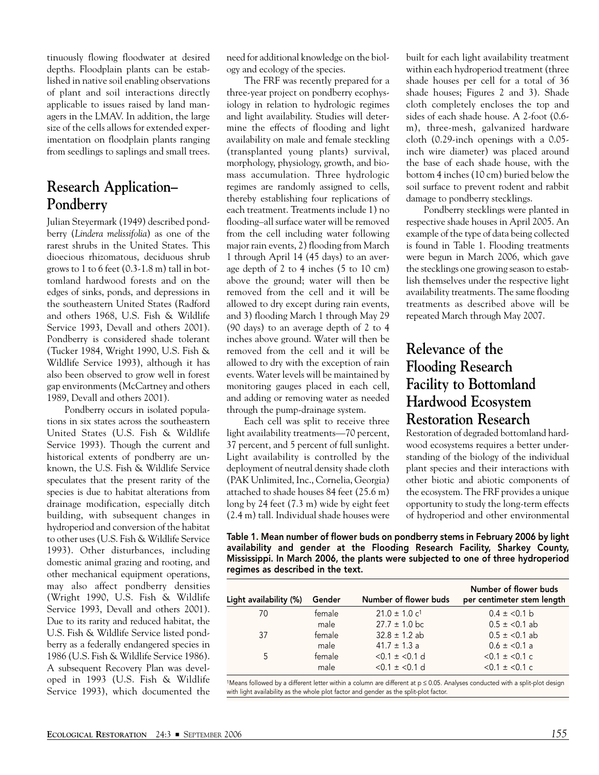tinuously flowing floodwater at desired depths. Floodplain plants can be established in native soil enabling observations of plant and soil interactions directly applicable to issues raised by land managers in the LMAV. In addition, the large size of the cells allows for extended experimentation on floodplain plants ranging from seedlings to saplings and small trees.

## **Research Application– Pondberry**

Julian Steyermark (1949) described pondberry (*Lindera melissifolia*) as one of the rarest shrubs in the United States. This dioecious rhizomatous, deciduous shrub grows to 1 to 6 feet (0.3-1.8 m) tall in bottomland hardwood forests and on the edges of sinks, ponds, and depressions in the southeastern United States (Radford and others 1968, U.S. Fish & Wildlife Service 1993, Devall and others 2001). Pondberry is considered shade tolerant (Tucker 1984, Wright 1990, U.S. Fish & Wildlife Service 1993), although it has also been observed to grow well in forest gap environments (McCartney and others 1989, Devall and others 2001).

Pondberry occurs in isolated populations in six states across the southeastern United States (U.S. Fish & Wildlife Service 1993). Though the current and historical extents of pondberry are unknown, the U.S. Fish & Wildlife Service speculates that the present rarity of the species is due to habitat alterations from drainage modification, especially ditch building, with subsequent changes in hydroperiod and conversion of the habitat to other uses (U.S. Fish & Wildlife Service 1993). Other disturbances, including domestic animal grazing and rooting, and other mechanical equipment operations, may also affect pondberry densities (Wright 1990, U.S. Fish & Wildlife Service 1993, Devall and others 2001). Due to its rarity and reduced habitat, the U.S. Fish & Wildlife Service listed pondberry as a federally endangered species in 1986 (U.S. Fish & Wildlife Service 1986). A subsequent Recovery Plan was developed in 1993 (U.S. Fish & Wildlife Service 1993), which documented the need for additional knowledge on the biology and ecology of the species.

The FRF was recently prepared for a three-year project on pondberry ecophysiology in relation to hydrologic regimes and light availability. Studies will determine the effects of flooding and light availability on male and female steckling (transplanted young plants) survival, morphology, physiology, growth, and biomass accumulation. Three hydrologic regimes are randomly assigned to cells, thereby establishing four replications of each treatment. Treatments include 1) no flooding–all surface water will be removed from the cell including water following major rain events, 2) flooding from March 1 through April 14 (45 days) to an average depth of 2 to 4 inches (5 to 10 cm) above the ground; water will then be removed from the cell and it will be allowed to dry except during rain events, and 3) flooding March 1 through May 29 (90 days) to an average depth of 2 to 4 inches above ground. Water will then be removed from the cell and it will be allowed to dry with the exception of rain events. Water levels will be maintained by monitoring gauges placed in each cell, and adding or removing water as needed through the pump-drainage system.

Each cell was split to receive three light availability treatments—70 percent, 37 percent, and 5 percent of full sunlight. Light availability is controlled by the deployment of neutral density shade cloth (PAK Unlimited, Inc., Cornelia, Georgia) attached to shade houses 84 feet (25.6 m) long by 24 feet (7.3 m) wide by eight feet (2.4 m) tall. Individual shade houses were built for each light availability treatment within each hydroperiod treatment (three shade houses per cell for a total of 36 shade houses; Figures 2 and 3). Shade cloth completely encloses the top and sides of each shade house. A 2-foot (0.6 m), three-mesh, galvanized hardware cloth (0.29-inch openings with a 0.05 inch wire diameter) was placed around the base of each shade house, with the bottom 4 inches (10 cm) buried below the soil surface to prevent rodent and rabbit damage to pondberry stecklings.

Pondberry stecklings were planted in respective shade houses in April 2005. An example of the type of data being collected is found in Table 1. Flooding treatments were begun in March 2006, which gave the stecklings one growing season to establish themselves under the respective light availability treatments. The same flooding treatments as described above will be repeated March through May 2007.

# **Relevance of the Flooding Research Facility to Bottomland Hardwood Ecosystem Restoration Research**

Restoration of degraded bottomland hardwood ecosystems requires a better understanding of the biology of the individual plant species and their interactions with other biotic and abiotic components of the ecosystem. The FRF provides a unique opportunity to study the long-term effects of hydroperiod and other environmental

Table 1. Mean number of flower buds on pondberry stems in February 2006 by light availability and gender at the Flooding Research Facility, Sharkey County, Mississippi. In March 2006, the plants were subjected to one of three hydroperiod regimes as described in the text.

| Light availability (%) | Gender | Number of flower buds         | Number of flower buds<br>per centimeter stem length |
|------------------------|--------|-------------------------------|-----------------------------------------------------|
| 70                     | female | $21.0 \pm 1.0$ c <sup>1</sup> | $0.4 \pm 0.1$ b                                     |
|                        | male   | $27.7 \pm 1.0$ bc             | $0.5 \pm \langle 0.1 \text{ ab}$                    |
| 37                     | female | $32.8 \pm 1.2$ ab             | $0.5 \pm \langle 0.1 \text{ ab}$                    |
|                        | male   | $41.7 \pm 1.3$ a              | $0.6 \pm \langle 0.1 a$                             |
| 5                      | female | $< 0.1 \pm < 0.1$ d           | $< 0.1 \pm 0.1$ c                                   |
|                        | male   | $< 0.1 \pm < 0.1$ d           | $< 0.1 \pm 0.1$ c                                   |

1Means followed by a different letter within a column are different at p ≤ 0.05. Analyses conducted with a split-plot design with light availability as the whole plot factor and gender as the split-plot factor.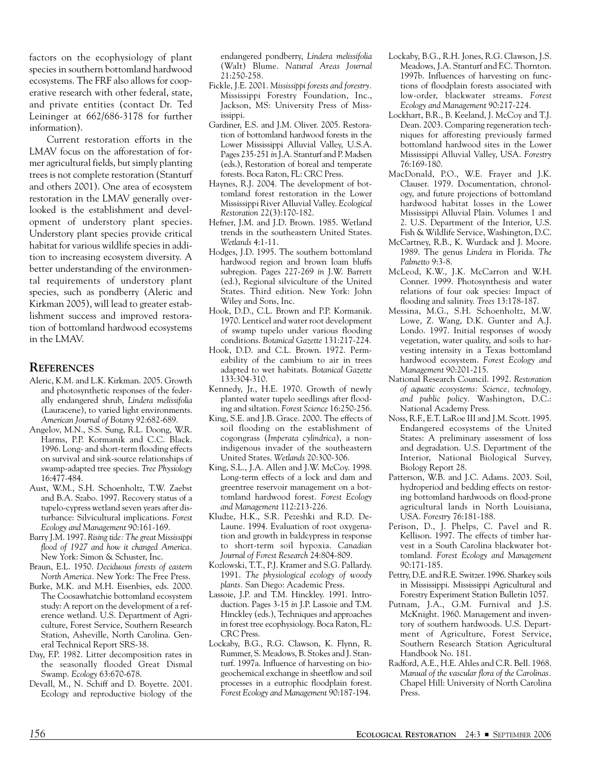factors on the ecophysiology of plant species in southern bottomland hardwood ecosystems. The FRF also allows for cooperative research with other federal, state, and private entities (contact Dr. Ted Leininger at 662/686-3178 for further information).

Current restoration efforts in the LMAV focus on the afforestation of former agricultural fields, but simply planting trees is not complete restoration (Stanturf and others 2001). One area of ecosystem restoration in the LMAV generally overlooked is the establishment and development of understory plant species. Understory plant species provide critical habitat for various wildlife species in addition to increasing ecosystem diversity. A better understanding of the environmental requirements of understory plant species, such as pondberry (Aleric and Kirkman 2005), will lead to greater establishment success and improved restoration of bottomland hardwood ecosystems in the LMAV.

### **REFERENCES**

- Aleric, K.M. and L.K. Kirkman. 2005. Growth and photosynthetic responses of the federally endangered shrub, *Lindera melissifolia* (Lauracene), to varied light environments. *American Journal of Botany* 92:682-689.
- Angelov, M.N., S.S. Sung, R.L. Doong, W.R. Harms, P.P. Kormanik and C.C. Black. 1996. Long- and short-term flooding effects on survival and sink-source relationships of swamp-adapted tree species. *Tree Physiology* 16:477-484.
- Aust, W.M., S.H. Schoenholtz, T.W. Zaebst and B.A. Szabo. 1997. Recovery status of a tupelo-cypress wetland seven years after disturbance: Silvicultural implications. *Forest Ecology and Management* 90:161-169.
- Barry J.M. 1997. *Rising tide: The great Mississippi flood of 1927 and how it changed America.* New York: Simon & Schuster, Inc.
- Braun, E.L. 1950. *Deciduous forests of eastern North America.* New York: The Free Press.
- Burke, M.K. and M.H. Eisenbies, eds. 2000. The Coosawhatchie bottomland ecosystem study: A report on the development of a reference wetland. U.S. Department of Agriculture, Forest Service, Southern Research Station, Asheville, North Carolina. General Technical Report SRS-38.
- Day, F.P. 1982. Litter decomposition rates in the seasonally flooded Great Dismal Swamp. *Ecology* 63:670-678.
- Devall, M., N. Schiff and D. Boyette. 2001. Ecology and reproductive biology of the

endangered pondberry, *Lindera melissifolia* (Walt) Blume. *Natural Areas Journal* 21:250-258.

- Fickle, J.E. 2001. *Mississippi forests and forestry.* Mississippi Forestry Foundation, Inc., Jackson, MS: University Press of Mississippi.
- Gardiner, E.S. and J.M. Oliver. 2005. Restoration of bottomland hardwood forests in the Lower Mississippi Alluvial Valley, U.S.A. Pages 235-251 *in* J.A. Stanturf and P. Madsen (eds.), Restoration of boreal and temperate forests. Boca Raton, FL: CRC Press.
- Haynes, R.J. 2004. The development of bottomland forest restoration in the Lower Mississippi River Alluvial Valley. *Ecological Restoration* 22(3):170-182.
- Hefner, J.M. and J.D. Brown. 1985. Wetland trends in the southeastern United States. *Wetlands* 4:1-11.
- Hodges, J.D. 1995. The southern bottomland hardwood region and brown loam bluffs subregion. Pages 227-269 *in* J.W. Barrett (ed.), Regional silviculture of the United States. Third edition. New York: John Wiley and Sons, Inc.
- Hook, D.D., C.L. Brown and P.P. Kormanik. 1970. Lenticel and water root development of swamp tupelo under various flooding conditions. *Botanical Gazette* 131:217-224.
- Hook, D.D. and C.L. Brown. 1972. Permeability of the cambium to air in trees adapted to wet habitats. *Botanical Gazette* 133:304-310.
- Kennedy, Jr., H.E. 1970. Growth of newly planted water tupelo seedlings after flooding and siltation. *Forest Science* 16:250-256.
- King, S.E. and J.B. Grace. 2000. The effects of soil flooding on the establishment of cogongrass (*Imperata cylindrica*), a nonindigenous invader of the southeastern United States. *Wetlands* 20:300-306.
- King, S.L., J.A. Allen and J.W. McCoy. 1998. Long-term effects of a lock and dam and greentree reservoir management on a bottomland hardwood forest. *Forest Ecology and Management* 112:213-226.
- Kludze, H.K., S.R. Pezeshki and R.D. De-Laune. 1994. Evaluation of root oxygenation and growth in baldcypress in response to short-term soil hypoxia. *Canadian Journal of Forest Research* 24:804-809.
- Kozlowski, T.T., P.J. Kramer and S.G. Pallardy. 1991. *The physiological ecology of woody plants.* San Diego: Academic Press.
- Lassoie, J.P. and T.M. Hinckley. 1991. Introduction. Pages 3-15 *in* J.P. Lassoie and T.M. Hinckley (eds.), Techniques and approaches in forest tree ecophysiology. Boca Raton, FL: CRC Press.
- Lockaby, B.G., R.G. Clawson, K. Flynn, R. Rummer, S. Meadows, B. Stokes and J. Stanturf. 1997a. Influence of harvesting on biogeochemical exchange in sheetflow and soil processes in a eutrophic floodplain forest. *Forest Ecology and Management* 90:187-194.
- Lockaby, B.G., R.H. Jones, R.G. Clawson, J.S. Meadows, J.A. Stanturf and F.C. Thornton. 1997b. Influences of harvesting on functions of floodplain forests associated with low-order, blackwater streams. *Forest Ecology and Management* 90:217-224.
- Lockhart, B.R., B. Keeland, J. McCoy and T.J. Dean. 2003. Comparing regeneration techniques for afforesting previously farmed bottomland hardwood sites in the Lower Mississippi Alluvial Valley, USA. *Forestry* 76:169-180.
- MacDonald, P.O., W.E. Frayer and J.K. Clauser. 1979. Documentation, chronology, and future projections of bottomland hardwood habitat losses in the Lower Mississippi Alluvial Plain. Volumes 1 and 2. U.S. Department of the Interior, U.S. Fish & Wildlife Service, Washington, D.C.
- McCartney, R.B., K. Wurdack and J. Moore. 1989. The genus *Lindera* in Florida. *The Palmetto* 9:3-8.
- McLeod, K.W., J.K. McCarron and W.H. Conner. 1999. Photosynthesis and water relations of four oak species: Impact of flooding and salinity. *Trees* 13:178-187.
- Messina, M.G., S.H. Schoenholtz, M.W. Lowe, Z. Wang, D.K. Gunter and A.J. Londo. 1997. Initial responses of woody vegetation, water quality, and soils to harvesting intensity in a Texas bottomland hardwood ecosystem. *Forest Ecology and Management* 90:201-215.
- National Research Council. 1992. *Restoration of aquatic ecosystems: Science, technology, and public policy.* Washington, D.C.: National Academy Press.
- Noss, R.F., E.T. LaRoe III and J.M. Scott. 1995. Endangered ecosystems of the United States: A preliminary assessment of loss and degradation. U.S. Department of the Interior, National Biological Survey, Biology Report 28.
- Patterson, W.B. and J.C. Adams. 2003. Soil, hydroperiod and bedding effects on restoring bottomland hardwoods on flood-prone agricultural lands in North Louisiana, USA. *Forestry* 76:181-188.
- Perison, D., J. Phelps, C. Pavel and R. Kellison. 1997. The effects of timber harvest in a South Carolina blackwater bottomland. *Forest Ecology and Management* 90:171-185.
- Pettry, D.E. and R.E. Switzer. 1996. Sharkey soils in Mississippi. Mississippi Agricultural and Forestry Experiment Station Bulletin 1057.
- Putnam, J.A., G.M. Furnival and J.S. McKnight. 1960. Management and inventory of southern hardwoods. U.S. Department of Agriculture, Forest Service, Southern Research Station Agricultural Handbook No. 181.
- Radford, A.E., H.E. Ahles and C.R. Bell. 1968. *Manual of the vascular flora of the Carolinas.* Chapel Hill: University of North Carolina Press.